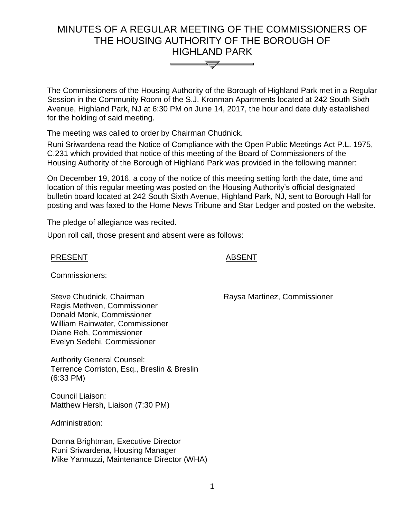# MINUTES OF A REGULAR MEETING OF THE COMMISSIONERS OF THE HOUSING AUTHORITY OF THE BOROUGH OF HIGHLAND PARK



The Commissioners of the Housing Authority of the Borough of Highland Park met in a Regular Session in the Community Room of the S.J. Kronman Apartments located at 242 South Sixth Avenue, Highland Park, NJ at 6:30 PM on June 14, 2017, the hour and date duly established for the holding of said meeting.

The meeting was called to order by Chairman Chudnick.

Runi Sriwardena read the Notice of Compliance with the Open Public Meetings Act P.L. 1975, C.231 which provided that notice of this meeting of the Board of Commissioners of the Housing Authority of the Borough of Highland Park was provided in the following manner:

On December 19, 2016, a copy of the notice of this meeting setting forth the date, time and location of this regular meeting was posted on the Housing Authority's official designated bulletin board located at 242 South Sixth Avenue, Highland Park, NJ, sent to Borough Hall for posting and was faxed to the Home News Tribune and Star Ledger and posted on the website.

The pledge of allegiance was recited.

Upon roll call, those present and absent were as follows:

### PRESENT ABSENT

Commissioners:

Steve Chudnick, Chairman Regis Methven, Commissioner Donald Monk, Commissioner William Rainwater, Commissioner Diane Reh, Commissioner Evelyn Sedehi, Commissioner

Authority General Counsel: Terrence Corriston, Esq., Breslin & Breslin (6:33 PM)

Council Liaison: Matthew Hersh, Liaison (7:30 PM)

Administration:

 Donna Brightman, Executive Director Runi Sriwardena, Housing Manager Mike Yannuzzi, Maintenance Director (WHA) Raysa Martinez, Commissioner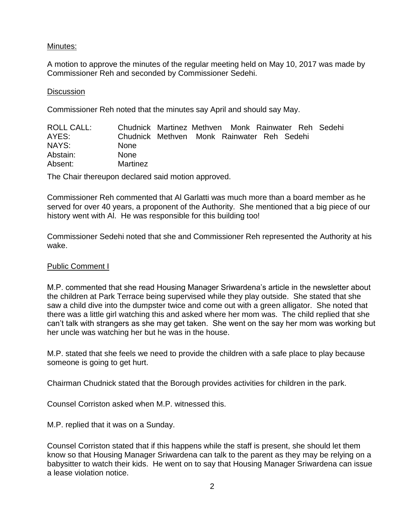# Minutes:

A motion to approve the minutes of the regular meeting held on May 10, 2017 was made by Commissioner Reh and seconded by Commissioner Sedehi.

### **Discussion**

Commissioner Reh noted that the minutes say April and should say May.

| ROLL CALL: | Chudnick Martinez Methven Monk Rainwater Reh Sedehi |  |  |  |
|------------|-----------------------------------------------------|--|--|--|
| AYES:      | Chudnick Methven Monk Rainwater Reh Sedehi          |  |  |  |
| NAYS:      | <b>None</b>                                         |  |  |  |
| Abstain:   | <b>None</b>                                         |  |  |  |
| Absent:    | Martinez                                            |  |  |  |

The Chair thereupon declared said motion approved.

Commissioner Reh commented that Al Garlatti was much more than a board member as he served for over 40 years, a proponent of the Authority. She mentioned that a big piece of our history went with Al. He was responsible for this building too!

Commissioner Sedehi noted that she and Commissioner Reh represented the Authority at his wake.

# Public Comment I

M.P. commented that she read Housing Manager Sriwardena's article in the newsletter about the children at Park Terrace being supervised while they play outside. She stated that she saw a child dive into the dumpster twice and come out with a green alligator. She noted that there was a little girl watching this and asked where her mom was. The child replied that she can't talk with strangers as she may get taken. She went on the say her mom was working but her uncle was watching her but he was in the house.

M.P. stated that she feels we need to provide the children with a safe place to play because someone is going to get hurt.

Chairman Chudnick stated that the Borough provides activities for children in the park.

Counsel Corriston asked when M.P. witnessed this.

M.P. replied that it was on a Sunday.

Counsel Corriston stated that if this happens while the staff is present, she should let them know so that Housing Manager Sriwardena can talk to the parent as they may be relying on a babysitter to watch their kids. He went on to say that Housing Manager Sriwardena can issue a lease violation notice.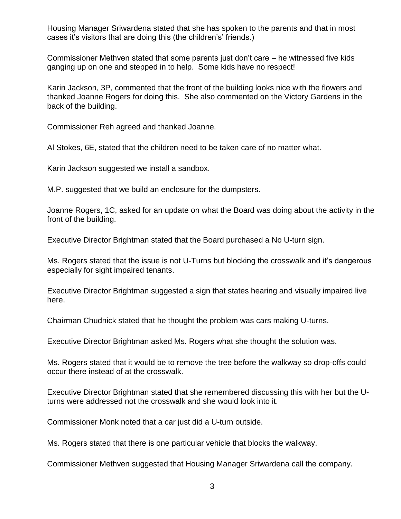Housing Manager Sriwardena stated that she has spoken to the parents and that in most cases it's visitors that are doing this (the children's' friends.)

Commissioner Methven stated that some parents just don't care – he witnessed five kids ganging up on one and stepped in to help. Some kids have no respect!

Karin Jackson, 3P, commented that the front of the building looks nice with the flowers and thanked Joanne Rogers for doing this. She also commented on the Victory Gardens in the back of the building.

Commissioner Reh agreed and thanked Joanne.

Al Stokes, 6E, stated that the children need to be taken care of no matter what.

Karin Jackson suggested we install a sandbox.

M.P. suggested that we build an enclosure for the dumpsters.

Joanne Rogers, 1C, asked for an update on what the Board was doing about the activity in the front of the building.

Executive Director Brightman stated that the Board purchased a No U-turn sign.

Ms. Rogers stated that the issue is not U-Turns but blocking the crosswalk and it's dangerous especially for sight impaired tenants.

Executive Director Brightman suggested a sign that states hearing and visually impaired live here.

Chairman Chudnick stated that he thought the problem was cars making U-turns.

Executive Director Brightman asked Ms. Rogers what she thought the solution was.

Ms. Rogers stated that it would be to remove the tree before the walkway so drop-offs could occur there instead of at the crosswalk.

Executive Director Brightman stated that she remembered discussing this with her but the Uturns were addressed not the crosswalk and she would look into it.

Commissioner Monk noted that a car just did a U-turn outside.

Ms. Rogers stated that there is one particular vehicle that blocks the walkway.

Commissioner Methven suggested that Housing Manager Sriwardena call the company.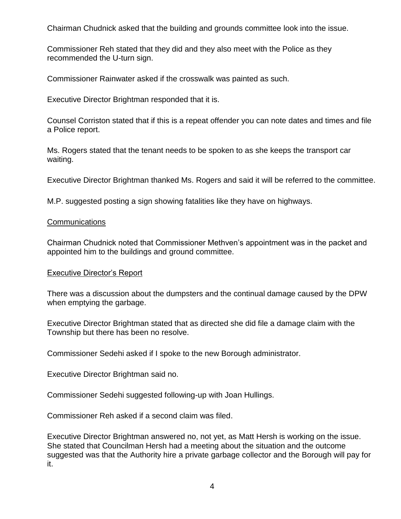Chairman Chudnick asked that the building and grounds committee look into the issue.

Commissioner Reh stated that they did and they also meet with the Police as they recommended the U-turn sign.

Commissioner Rainwater asked if the crosswalk was painted as such.

Executive Director Brightman responded that it is.

Counsel Corriston stated that if this is a repeat offender you can note dates and times and file a Police report.

Ms. Rogers stated that the tenant needs to be spoken to as she keeps the transport car waiting.

Executive Director Brightman thanked Ms. Rogers and said it will be referred to the committee.

M.P. suggested posting a sign showing fatalities like they have on highways.

# **Communications**

Chairman Chudnick noted that Commissioner Methven's appointment was in the packet and appointed him to the buildings and ground committee.

# Executive Director's Report

There was a discussion about the dumpsters and the continual damage caused by the DPW when emptying the garbage.

Executive Director Brightman stated that as directed she did file a damage claim with the Township but there has been no resolve.

Commissioner Sedehi asked if I spoke to the new Borough administrator.

Executive Director Brightman said no.

Commissioner Sedehi suggested following-up with Joan Hullings.

Commissioner Reh asked if a second claim was filed.

Executive Director Brightman answered no, not yet, as Matt Hersh is working on the issue. She stated that Councilman Hersh had a meeting about the situation and the outcome suggested was that the Authority hire a private garbage collector and the Borough will pay for it.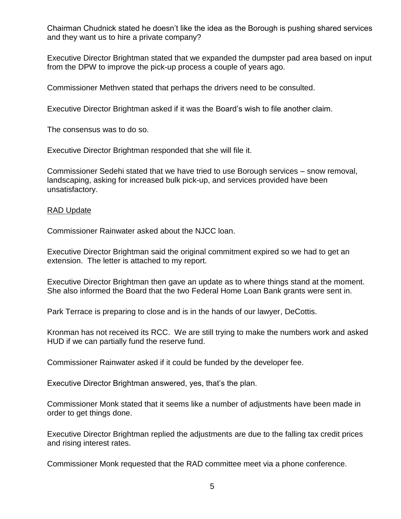Chairman Chudnick stated he doesn't like the idea as the Borough is pushing shared services and they want us to hire a private company?

Executive Director Brightman stated that we expanded the dumpster pad area based on input from the DPW to improve the pick-up process a couple of years ago.

Commissioner Methven stated that perhaps the drivers need to be consulted.

Executive Director Brightman asked if it was the Board's wish to file another claim.

The consensus was to do so.

Executive Director Brightman responded that she will file it.

Commissioner Sedehi stated that we have tried to use Borough services – snow removal, landscaping, asking for increased bulk pick-up, and services provided have been unsatisfactory.

# RAD Update

Commissioner Rainwater asked about the NJCC loan.

Executive Director Brightman said the original commitment expired so we had to get an extension. The letter is attached to my report.

Executive Director Brightman then gave an update as to where things stand at the moment. She also informed the Board that the two Federal Home Loan Bank grants were sent in.

Park Terrace is preparing to close and is in the hands of our lawyer, DeCottis.

Kronman has not received its RCC. We are still trying to make the numbers work and asked HUD if we can partially fund the reserve fund.

Commissioner Rainwater asked if it could be funded by the developer fee.

Executive Director Brightman answered, yes, that's the plan.

Commissioner Monk stated that it seems like a number of adjustments have been made in order to get things done.

Executive Director Brightman replied the adjustments are due to the falling tax credit prices and rising interest rates.

Commissioner Monk requested that the RAD committee meet via a phone conference.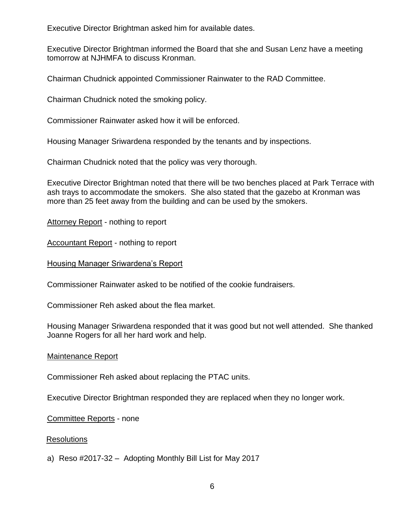Executive Director Brightman asked him for available dates.

Executive Director Brightman informed the Board that she and Susan Lenz have a meeting tomorrow at NJHMFA to discuss Kronman.

Chairman Chudnick appointed Commissioner Rainwater to the RAD Committee.

Chairman Chudnick noted the smoking policy.

Commissioner Rainwater asked how it will be enforced.

Housing Manager Sriwardena responded by the tenants and by inspections.

Chairman Chudnick noted that the policy was very thorough.

Executive Director Brightman noted that there will be two benches placed at Park Terrace with ash trays to accommodate the smokers. She also stated that the gazebo at Kronman was more than 25 feet away from the building and can be used by the smokers.

Attorney Report - nothing to report

Accountant Report - nothing to report

Housing Manager Sriwardena's Report

Commissioner Rainwater asked to be notified of the cookie fundraisers.

Commissioner Reh asked about the flea market.

Housing Manager Sriwardena responded that it was good but not well attended. She thanked Joanne Rogers for all her hard work and help.

#### Maintenance Report

Commissioner Reh asked about replacing the PTAC units.

Executive Director Brightman responded they are replaced when they no longer work.

#### Committee Reports - none

#### **Resolutions**

a) Reso #2017-32 – Adopting Monthly Bill List for May 2017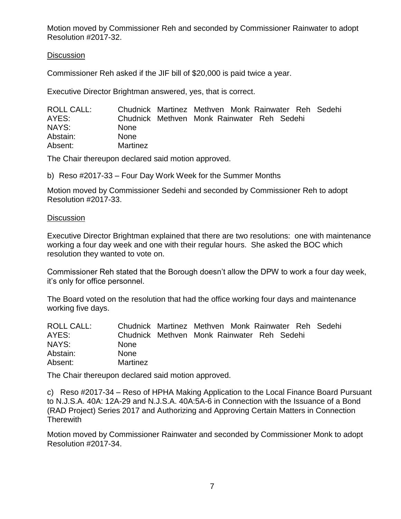Motion moved by Commissioner Reh and seconded by Commissioner Rainwater to adopt Resolution #2017-32.

# **Discussion**

Commissioner Reh asked if the JIF bill of \$20,000 is paid twice a year.

Executive Director Brightman answered, yes, that is correct.

| ROLL CALL: | Chudnick Martinez Methven Monk Rainwater Reh Sedehi |  |  |  |
|------------|-----------------------------------------------------|--|--|--|
| AYES:      | Chudnick Methyen Monk Rainwater Reh Sedehi          |  |  |  |
| NAYS:      | <b>None</b>                                         |  |  |  |
| Abstain:   | <b>None</b>                                         |  |  |  |
| Absent:    | Martinez                                            |  |  |  |

The Chair thereupon declared said motion approved.

b) Reso #2017-33 – Four Day Work Week for the Summer Months

Motion moved by Commissioner Sedehi and seconded by Commissioner Reh to adopt Resolution #2017-33.

# **Discussion**

Executive Director Brightman explained that there are two resolutions: one with maintenance working a four day week and one with their regular hours. She asked the BOC which resolution they wanted to vote on.

Commissioner Reh stated that the Borough doesn't allow the DPW to work a four day week, it's only for office personnel.

The Board voted on the resolution that had the office working four days and maintenance working five days.

| <b>ROLL CALL:</b> | Chudnick Martinez Methven Monk Rainwater Reh Sedehi |  |  |  |  |
|-------------------|-----------------------------------------------------|--|--|--|--|
| AYES:             | Chudnick Methven Monk Rainwater Reh Sedehi          |  |  |  |  |
| NAYS:             | <b>None</b>                                         |  |  |  |  |
| Abstain:          | <b>None</b>                                         |  |  |  |  |
| Absent:           | Martinez                                            |  |  |  |  |

The Chair thereupon declared said motion approved.

c) Reso #2017-34 – Reso of HPHA Making Application to the Local Finance Board Pursuant to N.J.S.A. 40A: 12A-29 and N.J.S.A. 40A:5A-6 in Connection with the Issuance of a Bond (RAD Project) Series 2017 and Authorizing and Approving Certain Matters in Connection **Therewith** 

Motion moved by Commissioner Rainwater and seconded by Commissioner Monk to adopt Resolution #2017-34.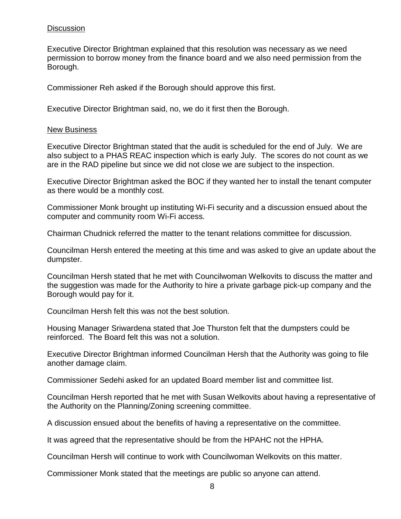# **Discussion**

Executive Director Brightman explained that this resolution was necessary as we need permission to borrow money from the finance board and we also need permission from the Borough.

Commissioner Reh asked if the Borough should approve this first.

Executive Director Brightman said, no, we do it first then the Borough.

#### New Business

Executive Director Brightman stated that the audit is scheduled for the end of July. We are also subject to a PHAS REAC inspection which is early July. The scores do not count as we are in the RAD pipeline but since we did not close we are subject to the inspection.

Executive Director Brightman asked the BOC if they wanted her to install the tenant computer as there would be a monthly cost.

Commissioner Monk brought up instituting Wi-Fi security and a discussion ensued about the computer and community room Wi-Fi access.

Chairman Chudnick referred the matter to the tenant relations committee for discussion.

Councilman Hersh entered the meeting at this time and was asked to give an update about the dumpster.

Councilman Hersh stated that he met with Councilwoman Welkovits to discuss the matter and the suggestion was made for the Authority to hire a private garbage pick-up company and the Borough would pay for it.

Councilman Hersh felt this was not the best solution.

Housing Manager Sriwardena stated that Joe Thurston felt that the dumpsters could be reinforced. The Board felt this was not a solution.

Executive Director Brightman informed Councilman Hersh that the Authority was going to file another damage claim.

Commissioner Sedehi asked for an updated Board member list and committee list.

Councilman Hersh reported that he met with Susan Welkovits about having a representative of the Authority on the Planning/Zoning screening committee.

A discussion ensued about the benefits of having a representative on the committee.

It was agreed that the representative should be from the HPAHC not the HPHA.

Councilman Hersh will continue to work with Councilwoman Welkovits on this matter.

Commissioner Monk stated that the meetings are public so anyone can attend.